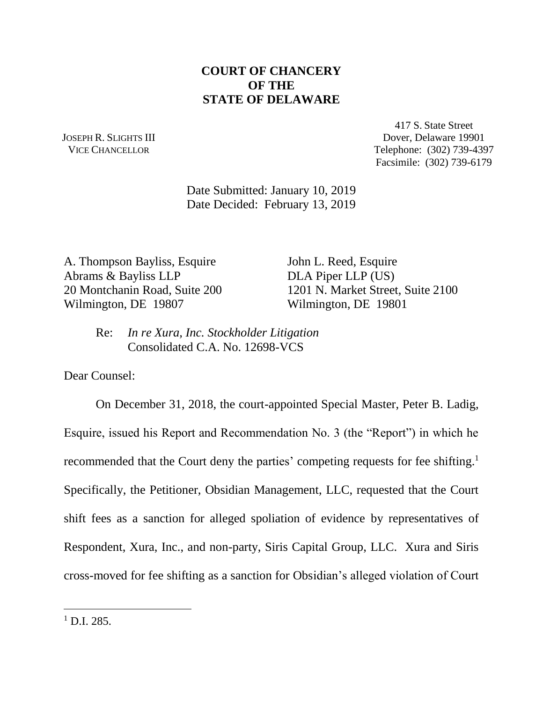## **COURT OF CHANCERY OF THE STATE OF DELAWARE**

JOSEPH R. SLIGHTS III VICE CHANCELLOR

417 S. State Street Dover, Delaware 19901 Telephone: (302) 739-4397 Facsimile: (302) 739-6179

Date Submitted: January 10, 2019 Date Decided: February 13, 2019

A. Thompson Bayliss, Esquire John L. Reed, Esquire Abrams & Bayliss LLP DLA Piper LLP (US) Wilmington, DE 19807 Wilmington, DE 19801

20 Montchanin Road, Suite 200 1201 N. Market Street, Suite 2100

Re: *In re Xura, Inc. Stockholder Litigation* Consolidated C.A. No. 12698-VCS

Dear Counsel:

On December 31, 2018, the court-appointed Special Master, Peter B. Ladig, Esquire, issued his Report and Recommendation No. 3 (the "Report") in which he recommended that the Court deny the parties' competing requests for fee shifting.<sup>1</sup> Specifically, the Petitioner, Obsidian Management, LLC, requested that the Court shift fees as a sanction for alleged spoliation of evidence by representatives of Respondent, Xura, Inc., and non-party, Siris Capital Group, LLC. Xura and Siris cross-moved for fee shifting as a sanction for Obsidian's alleged violation of Court

 $1$  D.I. 285.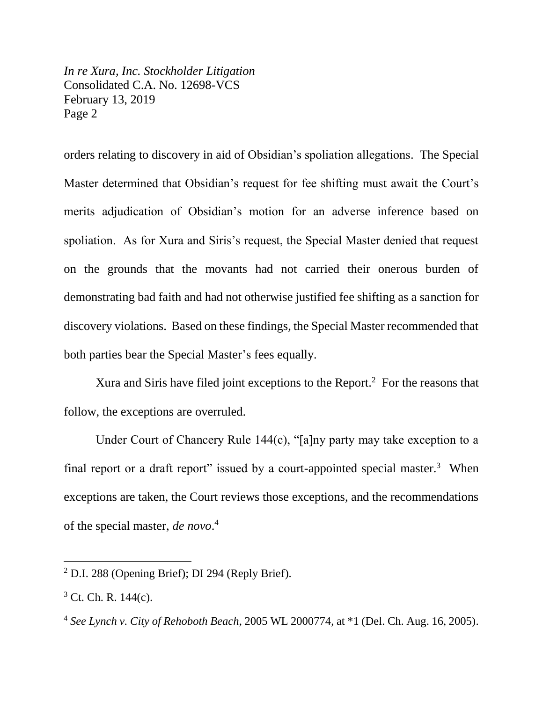*In re Xura, Inc. Stockholder Litigation* Consolidated C.A. No. 12698-VCS February 13, 2019 Page 2

orders relating to discovery in aid of Obsidian's spoliation allegations. The Special Master determined that Obsidian's request for fee shifting must await the Court's merits adjudication of Obsidian's motion for an adverse inference based on spoliation. As for Xura and Siris's request, the Special Master denied that request on the grounds that the movants had not carried their onerous burden of demonstrating bad faith and had not otherwise justified fee shifting as a sanction for discovery violations. Based on these findings, the Special Master recommended that both parties bear the Special Master's fees equally.

Xura and Siris have filed joint exceptions to the Report. $<sup>2</sup>$  For the reasons that</sup> follow, the exceptions are overruled.

Under Court of Chancery Rule 144(c), "[a]ny party may take exception to a final report or a draft report" issued by a court-appointed special master. $3$  When exceptions are taken, the Court reviews those exceptions, and the recommendations of the special master, *de novo*. 4

<sup>2</sup> D.I. 288 (Opening Brief); DI 294 (Reply Brief).

 $3$  Ct. Ch. R. 144(c).

<sup>4</sup> *See Lynch v. City of Rehoboth Beach*, 2005 WL 2000774, at \*1 (Del. Ch. Aug. 16, 2005).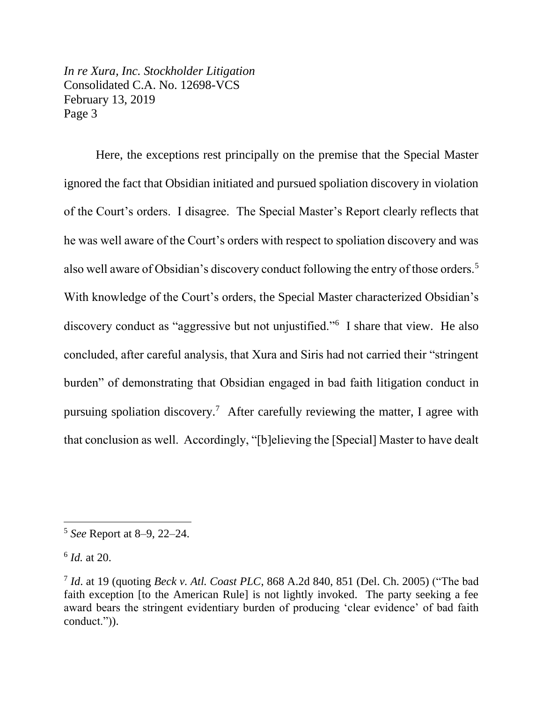*In re Xura, Inc. Stockholder Litigation* Consolidated C.A. No. 12698-VCS February 13, 2019 Page 3

Here, the exceptions rest principally on the premise that the Special Master ignored the fact that Obsidian initiated and pursued spoliation discovery in violation of the Court's orders. I disagree. The Special Master's Report clearly reflects that he was well aware of the Court's orders with respect to spoliation discovery and was also well aware of Obsidian's discovery conduct following the entry of those orders.<sup>5</sup> With knowledge of the Court's orders, the Special Master characterized Obsidian's discovery conduct as "aggressive but not unjustified."<sup>6</sup> I share that view. He also concluded, after careful analysis, that Xura and Siris had not carried their "stringent burden" of demonstrating that Obsidian engaged in bad faith litigation conduct in pursuing spoliation discovery.<sup>7</sup> After carefully reviewing the matter, I agree with that conclusion as well. Accordingly, "[b]elieving the [Special] Master to have dealt

<sup>5</sup> *See* Report at 8–9, 22–24.

<sup>6</sup> *Id.* at 20.

<sup>7</sup> *Id*. at 19 (quoting *Beck v. Atl. Coast PLC*, 868 A.2d 840, 851 (Del. Ch. 2005) ("The bad faith exception [to the American Rule] is not lightly invoked. The party seeking a fee award bears the stringent evidentiary burden of producing 'clear evidence' of bad faith conduct.")).